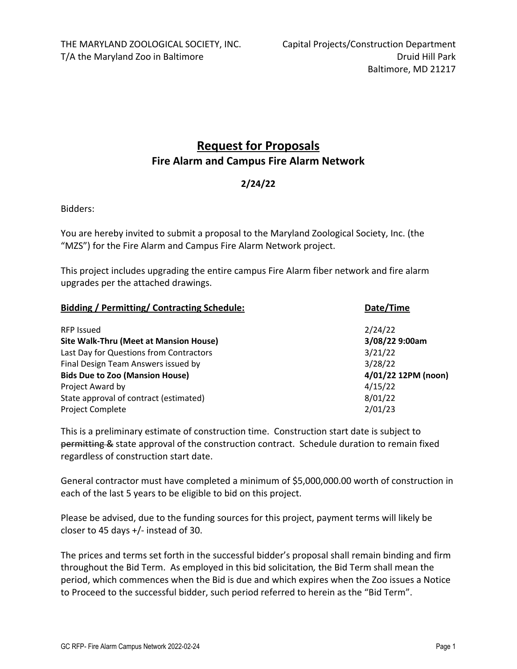# **Request for Proposals Fire Alarm and Campus Fire Alarm Network**

# **2/24/22**

Bidders:

You are hereby invited to submit a proposal to the Maryland Zoological Society, Inc. (the "MZS") for the Fire Alarm and Campus Fire Alarm Network project.

This project includes upgrading the entire campus Fire Alarm fiber network and fire alarm upgrades per the attached drawings.

| <b>Bidding / Permitting/ Contracting Schedule:</b> | Date/Time           |  |
|----------------------------------------------------|---------------------|--|
| <b>RFP Issued</b>                                  | 2/24/22             |  |
| <b>Site Walk-Thru (Meet at Mansion House)</b>      | 3/08/22 9:00am      |  |
| Last Day for Questions from Contractors            | 3/21/22             |  |
| Final Design Team Answers issued by                | 3/28/22             |  |
| <b>Bids Due to Zoo (Mansion House)</b>             | 4/01/22 12PM (noon) |  |
| Project Award by                                   | 4/15/22             |  |
| State approval of contract (estimated)             | 8/01/22             |  |
| <b>Project Complete</b>                            | 2/01/23             |  |

This is a preliminary estimate of construction time. Construction start date is subject to permitting & state approval of the construction contract. Schedule duration to remain fixed regardless of construction start date.

General contractor must have completed a minimum of \$5,000,000.00 worth of construction in each of the last 5 years to be eligible to bid on this project.

Please be advised, due to the funding sources for this project, payment terms will likely be closer to 45 days +/‐ instead of 30.

The prices and terms set forth in the successful bidder's proposal shall remain binding and firm throughout the Bid Term. As employed in this bid solicitation*,* the Bid Term shall mean the period, which commences when the Bid is due and which expires when the Zoo issues a Notice to Proceed to the successful bidder, such period referred to herein as the "Bid Term".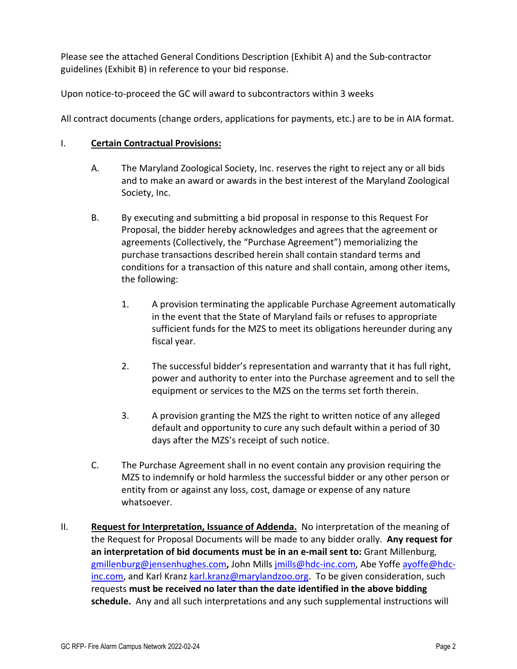Please see the attached General Conditions Description (Exhibit A) and the Sub‐contractor guidelines (Exhibit B) in reference to your bid response.

Upon notice‐to‐proceed the GC will award to subcontractors within 3 weeks

All contract documents (change orders, applications for payments, etc.) are to be in AIA format.

### I. **Certain Contractual Provisions:**

- A. The Maryland Zoological Society, Inc. reserves the right to reject any or all bids and to make an award or awards in the best interest of the Maryland Zoological Society, Inc.
- B. By executing and submitting a bid proposal in response to this Request For Proposal, the bidder hereby acknowledges and agrees that the agreement or agreements (Collectively, the "Purchase Agreement") memorializing the purchase transactions described herein shall contain standard terms and conditions for a transaction of this nature and shall contain, among other items, the following:
	- 1. A provision terminating the applicable Purchase Agreement automatically in the event that the State of Maryland fails or refuses to appropriate sufficient funds for the MZS to meet its obligations hereunder during any fiscal year.
	- 2. The successful bidder's representation and warranty that it has full right, power and authority to enter into the Purchase agreement and to sell the equipment or services to the MZS on the terms set forth therein.
	- 3. A provision granting the MZS the right to written notice of any alleged default and opportunity to cure any such default within a period of 30 days after the MZS's receipt of such notice.
- C. The Purchase Agreement shall in no event contain any provision requiring the MZS to indemnify or hold harmless the successful bidder or any other person or entity from or against any loss, cost, damage or expense of any nature whatsoever.
- II. **Request for Interpretation, Issuance of Addenda.** No interpretation of the meaning of the Request for Proposal Documents will be made to any bidder orally. **Any request for an interpretation of bid documents must be in an e‐mail sent to:** Grant Millenburg, gmillenburg@jensenhughes.com**,** John Mills jmills@hdc‐inc.com, Abe Yoffe ayoffe@hdc‐ inc.com, and Karl Kranz karl.kranz@marylandzoo.org. To be given consideration, such requests **must be received no later than the date identified in the above bidding schedule.** Any and all such interpretations and any such supplemental instructions will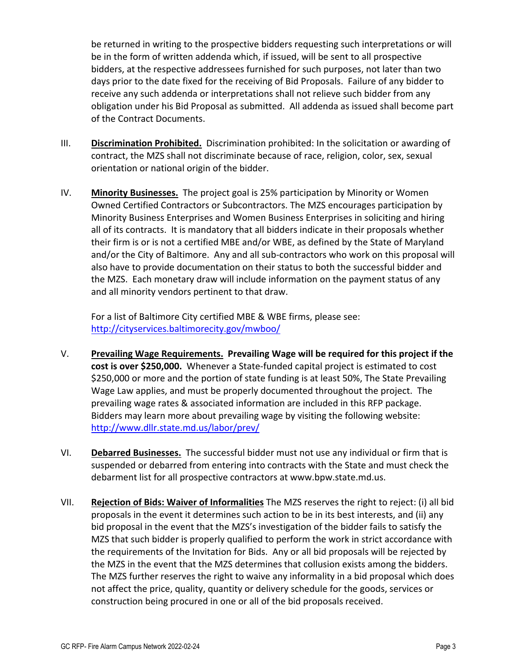be returned in writing to the prospective bidders requesting such interpretations or will be in the form of written addenda which, if issued, will be sent to all prospective bidders, at the respective addressees furnished for such purposes, not later than two days prior to the date fixed for the receiving of Bid Proposals. Failure of any bidder to receive any such addenda or interpretations shall not relieve such bidder from any obligation under his Bid Proposal as submitted. All addenda as issued shall become part of the Contract Documents.

- III. **Discrimination Prohibited.** Discrimination prohibited: In the solicitation or awarding of contract, the MZS shall not discriminate because of race, religion, color, sex, sexual orientation or national origin of the bidder.
- IV. **Minority Businesses.** The project goal is 25% participation by Minority or Women Owned Certified Contractors or Subcontractors. The MZS encourages participation by Minority Business Enterprises and Women Business Enterprises in soliciting and hiring all of its contracts. It is mandatory that all bidders indicate in their proposals whether their firm is or is not a certified MBE and/or WBE, as defined by the State of Maryland and/or the City of Baltimore. Any and all sub‐contractors who work on this proposal will also have to provide documentation on their status to both the successful bidder and the MZS. Each monetary draw will include information on the payment status of any and all minority vendors pertinent to that draw.

For a list of Baltimore City certified MBE & WBE firms, please see: http://cityservices.baltimorecity.gov/mwboo/

- V. **Prevailing Wage Requirements. Prevailing Wage will be required for this project if the cost is over \$250,000.** Whenever a State‐funded capital project is estimated to cost \$250,000 or more and the portion of state funding is at least 50%, The State Prevailing Wage Law applies, and must be properly documented throughout the project. The prevailing wage rates & associated information are included in this RFP package. Bidders may learn more about prevailing wage by visiting the following website: http://www.dllr.state.md.us/labor/prev/
- VI. **Debarred Businesses.** The successful bidder must not use any individual or firm that is suspended or debarred from entering into contracts with the State and must check the debarment list for all prospective contractors at www.bpw.state.md.us.
- VII. **Rejection of Bids: Waiver of Informalities** The MZS reserves the right to reject: (i) all bid proposals in the event it determines such action to be in its best interests, and (ii) any bid proposal in the event that the MZS's investigation of the bidder fails to satisfy the MZS that such bidder is properly qualified to perform the work in strict accordance with the requirements of the Invitation for Bids. Any or all bid proposals will be rejected by the MZS in the event that the MZS determines that collusion exists among the bidders. The MZS further reserves the right to waive any informality in a bid proposal which does not affect the price, quality, quantity or delivery schedule for the goods, services or construction being procured in one or all of the bid proposals received.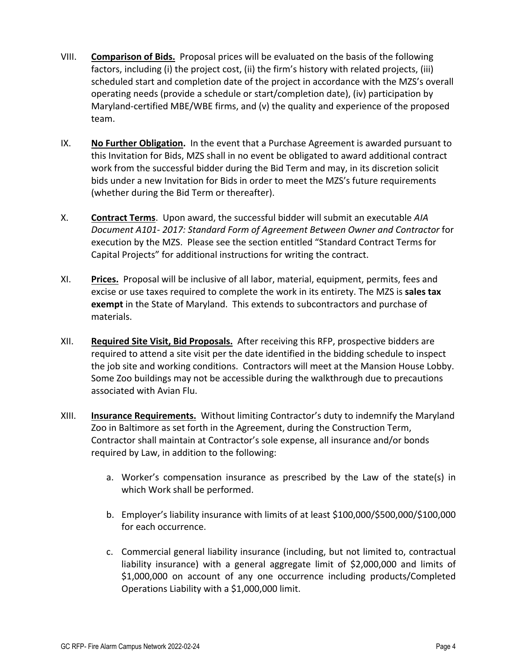- VIII. **Comparison of Bids.** Proposal prices will be evaluated on the basis of the following factors, including (i) the project cost, (ii) the firm's history with related projects, (iii) scheduled start and completion date of the project in accordance with the MZS's overall operating needs (provide a schedule or start/completion date), (iv) participation by Maryland‐certified MBE/WBE firms, and (v) the quality and experience of the proposed team.
- IX. **No Further Obligation.** In the event that a Purchase Agreement is awarded pursuant to this Invitation for Bids, MZS shall in no event be obligated to award additional contract work from the successful bidder during the Bid Term and may, in its discretion solicit bids under a new Invitation for Bids in order to meet the MZS's future requirements (whether during the Bid Term or thereafter).
- X. **Contract Terms**. Upon award, the successful bidder will submit an executable *AIA Document A101‐ 2017: Standard Form of Agreement Between Owner and Contractor* for execution by the MZS. Please see the section entitled "Standard Contract Terms for Capital Projects" for additional instructions for writing the contract.
- XI. **Prices.** Proposal will be inclusive of all labor, material, equipment, permits, fees and excise or use taxes required to complete the work in its entirety. The MZS is **sales tax exempt** in the State of Maryland. This extends to subcontractors and purchase of materials.
- XII. **Required Site Visit, Bid Proposals.** After receiving this RFP, prospective bidders are required to attend a site visit per the date identified in the bidding schedule to inspect the job site and working conditions. Contractors will meet at the Mansion House Lobby. Some Zoo buildings may not be accessible during the walkthrough due to precautions associated with Avian Flu.
- XIII. **Insurance Requirements.** Without limiting Contractor's duty to indemnify the Maryland Zoo in Baltimore as set forth in the Agreement, during the Construction Term, Contractor shall maintain at Contractor's sole expense, all insurance and/or bonds required by Law, in addition to the following:
	- a. Worker's compensation insurance as prescribed by the Law of the state(s) in which Work shall be performed.
	- b. Employer's liability insurance with limits of at least \$100,000/\$500,000/\$100,000 for each occurrence.
	- c. Commercial general liability insurance (including, but not limited to, contractual liability insurance) with a general aggregate limit of \$2,000,000 and limits of \$1,000,000 on account of any one occurrence including products/Completed Operations Liability with a \$1,000,000 limit.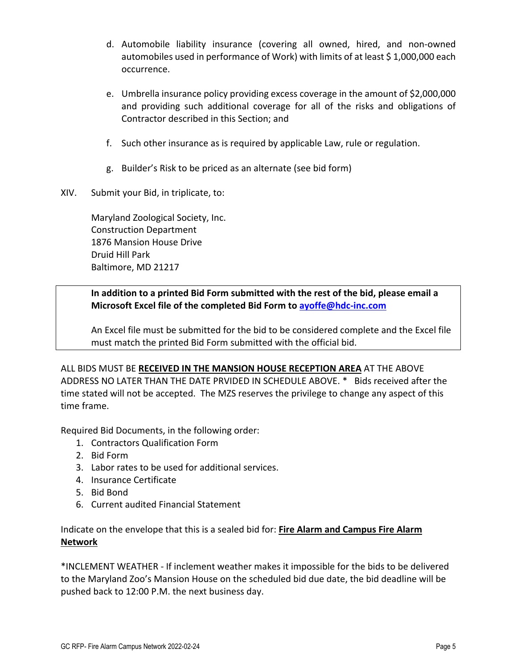- d. Automobile liability insurance (covering all owned, hired, and non‐owned automobiles used in performance of Work) with limits of at least \$1,000,000 each occurrence.
- e. Umbrella insurance policy providing excess coverage in the amount of \$2,000,000 and providing such additional coverage for all of the risks and obligations of Contractor described in this Section; and
- f. Such other insurance as is required by applicable Law, rule or regulation.
- g. Builder's Risk to be priced as an alternate (see bid form)
- XIV. Submit your Bid, in triplicate, to:

Maryland Zoological Society, Inc. Construction Department 1876 Mansion House Drive Druid Hill Park Baltimore, MD 21217

# **In addition to a printed Bid Form submitted with the rest of the bid, please email a Microsoft Excel file of the completed Bid Form to ayoffe@hdc‐inc.com**

An Excel file must be submitted for the bid to be considered complete and the Excel file must match the printed Bid Form submitted with the official bid.

ALL BIDS MUST BE **RECEIVED IN THE MANSION HOUSE RECEPTION AREA** AT THE ABOVE ADDRESS NO LATER THAN THE DATE PRVIDED IN SCHEDULE ABOVE. \* Bids received after the time stated will not be accepted. The MZS reserves the privilege to change any aspect of this time frame.

Required Bid Documents, in the following order:

- 1. Contractors Qualification Form
- 2. Bid Form
- 3. Labor rates to be used for additional services.
- 4. Insurance Certificate
- 5. Bid Bond
- 6. Current audited Financial Statement

Indicate on the envelope that this is a sealed bid for: **Fire Alarm and Campus Fire Alarm Network**

\*INCLEMENT WEATHER ‐ If inclement weather makes it impossible for the bids to be delivered to the Maryland Zoo's Mansion House on the scheduled bid due date, the bid deadline will be pushed back to 12:00 P.M. the next business day.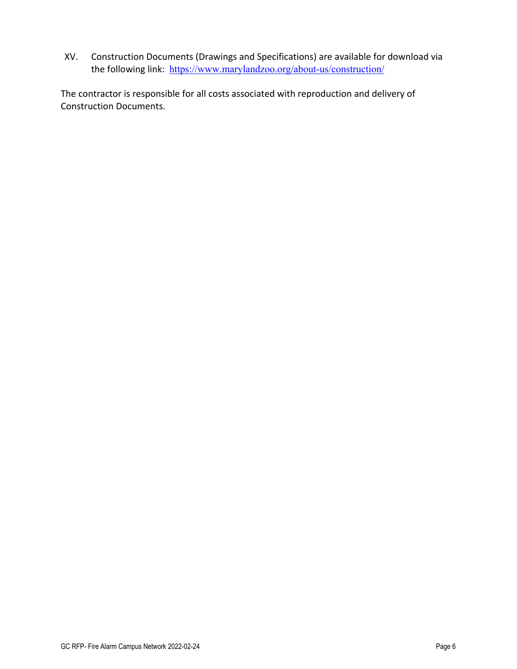XV. Construction Documents (Drawings and Specifications) are available for download via the following link: https://www.marylandzoo.org/about-us/construction/

The contractor is responsible for all costs associated with reproduction and delivery of Construction Documents.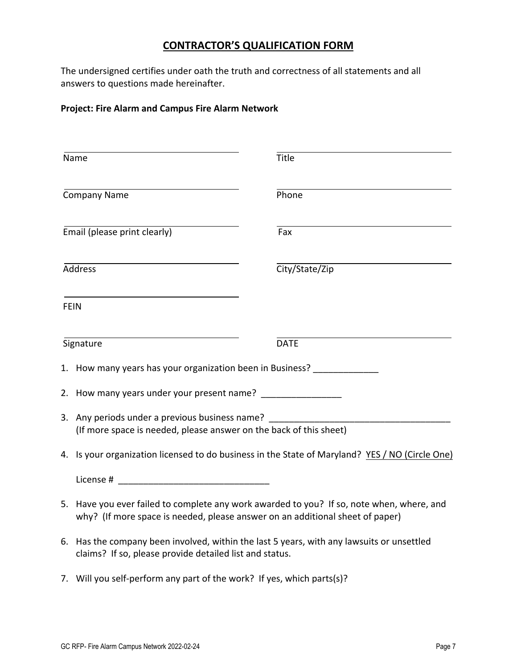# **CONTRACTOR'S QUALIFICATION FORM**

The undersigned certifies under oath the truth and correctness of all statements and all answers to questions made hereinafter.

# **Project: Fire Alarm and Campus Fire Alarm Network**

| Name                                                                                                                                                                       | Title          |  |
|----------------------------------------------------------------------------------------------------------------------------------------------------------------------------|----------------|--|
| <b>Company Name</b>                                                                                                                                                        | Phone          |  |
| Email (please print clearly)                                                                                                                                               | Fax            |  |
| <b>Address</b>                                                                                                                                                             | City/State/Zip |  |
| <b>FEIN</b>                                                                                                                                                                |                |  |
| Signature                                                                                                                                                                  | <b>DATE</b>    |  |
| 1. How many years has your organization been in Business?                                                                                                                  |                |  |
| 2. How many years under your present name? ___________________                                                                                                             |                |  |
| 3. Any periods under a previous business name?<br>(If more space is needed, please answer on the back of this sheet)                                                       |                |  |
| 4. Is your organization licensed to do business in the State of Maryland? YES / NO (Circle One)                                                                            |                |  |
| License # 2008 and 2008 and 2008 and 2008 and 2008 and 2008 and 2008 and 2008 and 2008 and 2008 and 2008 and 20                                                            |                |  |
| 5. Have you ever failed to complete any work awarded to you? If so, note when, where, and<br>why? (If more space is needed, please answer on an additional sheet of paper) |                |  |
| 6. Has the company been involved, within the last 5 years, with any lawsuits or unsettled<br>claims? If so, please provide detailed list and status.                       |                |  |

7. Will you self-perform any part of the work? If yes, which parts(s)?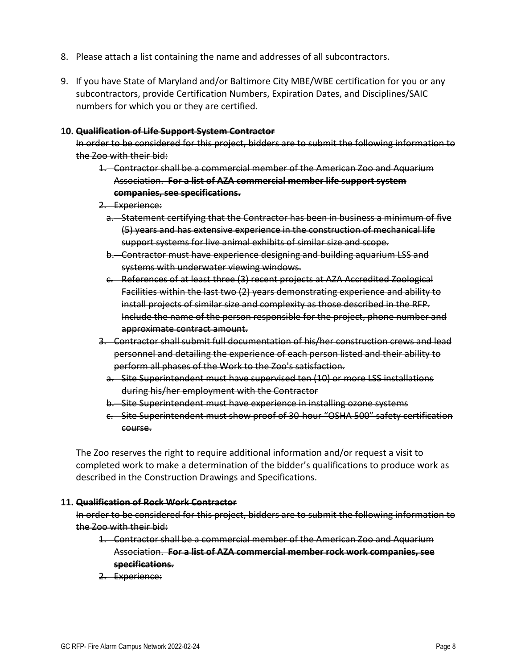- 8. Please attach a list containing the name and addresses of all subcontractors.
- 9. If you have State of Maryland and/or Baltimore City MBE/WBE certification for you or any subcontractors, provide Certification Numbers, Expiration Dates, and Disciplines/SAIC numbers for which you or they are certified.

#### **10. Qualification of Life Support System Contractor**

In order to be considered for this project, bidders are to submit the following information to the Zoo with their bid:

- 1. Contractor shall be a commercial member of the American Zoo and Aquarium Association. **For a list of AZA commercial member life support system companies, see specifications.**
- 2. Experience:
	- a. Statement certifying that the Contractor has been in business a minimum of five (5) years and has extensive experience in the construction of mechanical life support systems for live animal exhibits of similar size and scope.
	- b. Contractor must have experience designing and building aquarium LSS and systems with underwater viewing windows.
	- c. References of at least three (3) recent projects at AZA Accredited Zoological Facilities within the last two (2) years demonstrating experience and ability to install projects of similar size and complexity as those described in the RFP. Include the name of the person responsible for the project, phone number and approximate contract amount.
- 3. Contractor shall submit full documentation of his/her construction crews and lead personnel and detailing the experience of each person listed and their ability to perform all phases of the Work to the Zoo's satisfaction.
	- a. Site Superintendent must have supervised ten (10) or more LSS installations during his/her employment with the Contractor
	- b. Site Superintendent must have experience in installing ozone systems
	- c. Site Superintendent must show proof of 30‐hour "OSHA 500" safety certification course.

The Zoo reserves the right to require additional information and/or request a visit to completed work to make a determination of the bidder's qualifications to produce work as described in the Construction Drawings and Specifications.

#### **11. Qualification of Rock Work Contractor**

In order to be considered for this project, bidders are to submit the following information to the Zoo with their bid:

- 1. Contractor shall be a commercial member of the American Zoo and Aquarium Association. **For a list of AZA commercial member rock work companies, see specifications.**
- 2. Experience: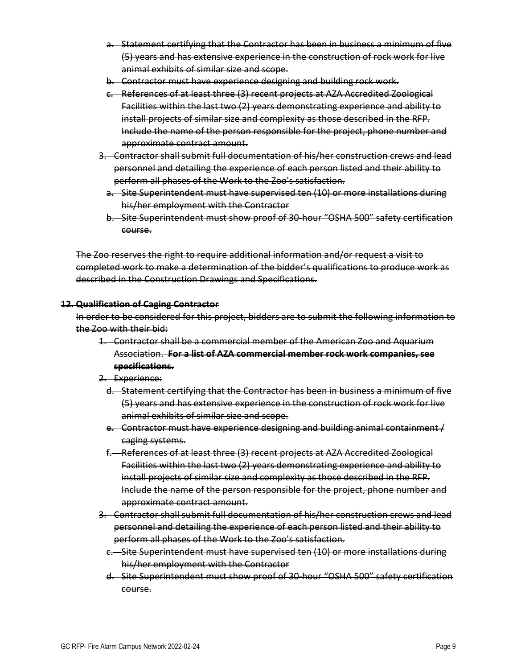- a. Statement certifying that the Contractor has been in business a minimum of five (5) years and has extensive experience in the construction of rock work for live animal exhibits of similar size and scope.
- b. Contractor must have experience designing and building rock work.
- c. References of at least three (3) recent projects at AZA Accredited Zoological Facilities within the last two (2) years demonstrating experience and ability to install projects of similar size and complexity as those described in the RFP. Include the name of the person responsible for the project, phone number and approximate contract amount.
- 3. Contractor shall submit full documentation of his/her construction crews and lead personnel and detailing the experience of each person listed and their ability to perform all phases of the Work to the Zoo's satisfaction.
	- a. Site Superintendent must have supervised ten (10) or more installations during his/her employment with the Contractor
	- b. Site Superintendent must show proof of 30‐hour "OSHA 500" safety certification course.

The Zoo reserves the right to require additional information and/or request a visit to completed work to make a determination of the bidder's qualifications to produce work as described in the Construction Drawings and Specifications.

#### **12. Qualification of Caging Contractor**

In order to be considered for this project, bidders are to submit the following information to the Zoo with their bid:

- 1. Contractor shall be a commercial member of the American Zoo and Aquarium Association. **For a list of AZA commercial member rock work companies, see specifications.**
- 2. Experience:
	- d. Statement certifying that the Contractor has been in business a minimum of five (5) years and has extensive experience in the construction of rock work for live animal exhibits of similar size and scope.
	- e. Contractor must have experience designing and building animal containment / caging systems.
	- f. References of at least three (3) recent projects at AZA Accredited Zoological Facilities within the last two (2) years demonstrating experience and ability to install projects of similar size and complexity as those described in the RFP. Include the name of the person responsible for the project, phone number and approximate contract amount.
- 3. Contractor shall submit full documentation of his/her construction crews and lead personnel and detailing the experience of each person listed and their ability to perform all phases of the Work to the Zoo's satisfaction.
	- c. Site Superintendent must have supervised ten (10) or more installations during his/her employment with the Contractor
	- d. Site Superintendent must show proof of 30‐hour "OSHA 500" safety certification course.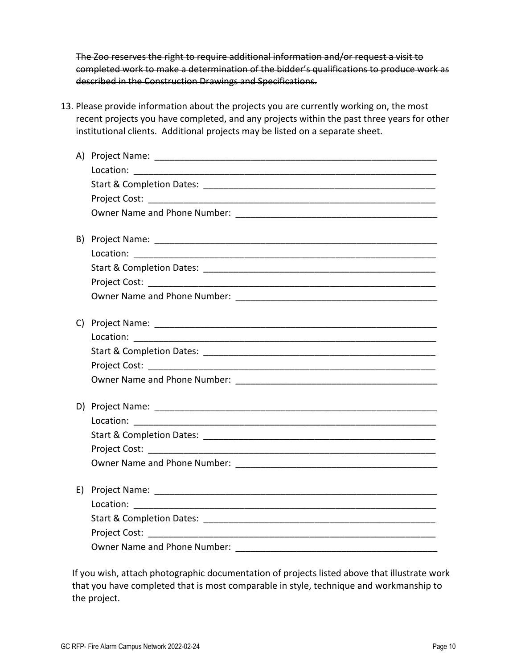The Zoo reserves the right to require additional information and/or request a visit to completed work to make a determination of the bidder's qualifications to produce work as described in the Construction Drawings and Specifications.

13. Please provide information about the projects you are currently working on, the most recent projects you have completed, and any projects within the past three years for other institutional clients. Additional projects may be listed on a separate sheet.

| B) |           |
|----|-----------|
|    | Location: |
|    |           |
|    |           |
|    |           |
|    |           |
|    |           |
|    |           |
|    |           |
|    |           |
|    |           |
|    |           |
|    |           |
|    |           |
|    |           |
| E) |           |
|    |           |
|    |           |
|    |           |
|    |           |

If you wish, attach photographic documentation of projects listed above that illustrate work that you have completed that is most comparable in style, technique and workmanship to the project.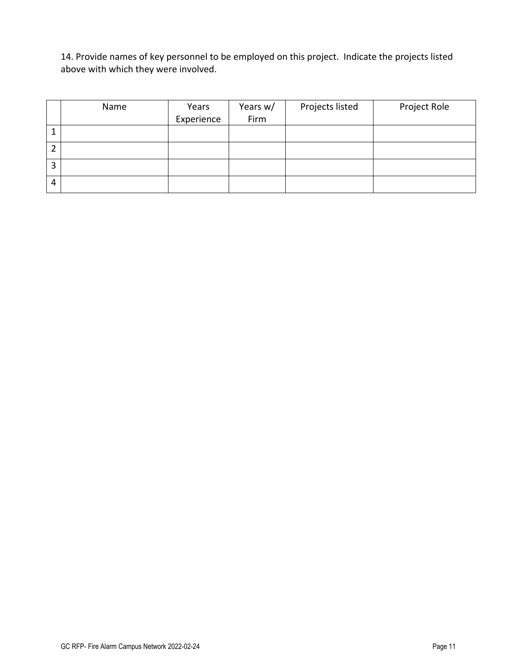14. Provide names of key personnel to be employed on this project. Indicate the projects listed above with which they were involved.

|   | Name | Years      | Years w/ | Projects listed | Project Role |
|---|------|------------|----------|-----------------|--------------|
|   |      | Experience | Firm     |                 |              |
|   |      |            |          |                 |              |
|   |      |            |          |                 |              |
| 3 |      |            |          |                 |              |
| 4 |      |            |          |                 |              |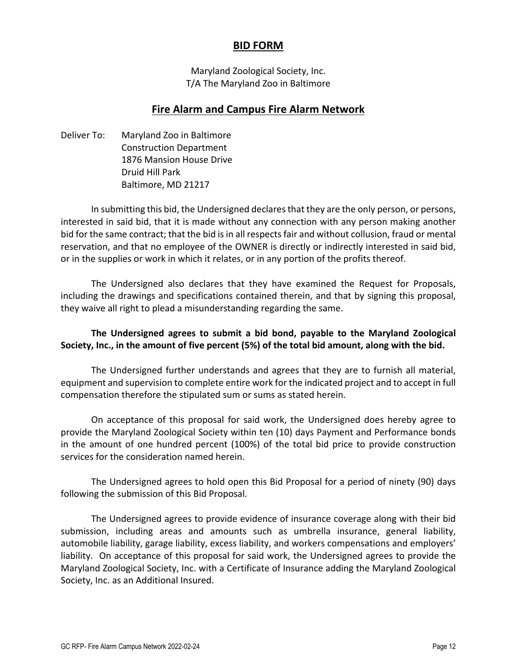# **BID FORM**

Maryland Zoological Society, Inc. T/A The Maryland Zoo in Baltimore

# **Fire Alarm and Campus Fire Alarm Network**

Deliver To: Maryland Zoo in Baltimore Construction Department 1876 Mansion House Drive Druid Hill Park Baltimore, MD 21217

In submitting this bid, the Undersigned declaresthat they are the only person, or persons, interested in said bid, that it is made without any connection with any person making another bid for the same contract; that the bid is in all respects fair and without collusion, fraud or mental reservation, and that no employee of the OWNER is directly or indirectly interested in said bid, or in the supplies or work in which it relates, or in any portion of the profits thereof.

The Undersigned also declares that they have examined the Request for Proposals, including the drawings and specifications contained therein, and that by signing this proposal, they waive all right to plead a misunderstanding regarding the same.

# **The Undersigned agrees to submit a bid bond, payable to the Maryland Zoological Society, Inc., in the amount of five percent (5%) of the total bid amount, along with the bid.**

The Undersigned further understands and agrees that they are to furnish all material, equipment and supervision to complete entire work for the indicated project and to accept in full compensation therefore the stipulated sum or sums as stated herein.

On acceptance of this proposal for said work, the Undersigned does hereby agree to provide the Maryland Zoological Society within ten (10) days Payment and Performance bonds in the amount of one hundred percent (100%) of the total bid price to provide construction services for the consideration named herein.

The Undersigned agrees to hold open this Bid Proposal for a period of ninety (90) days following the submission of this Bid Proposal.

The Undersigned agrees to provide evidence of insurance coverage along with their bid submission, including areas and amounts such as umbrella insurance, general liability, automobile liability, garage liability, excess liability, and workers compensations and employers' liability. On acceptance of this proposal for said work, the Undersigned agrees to provide the Maryland Zoological Society, Inc. with a Certificate of Insurance adding the Maryland Zoological Society, Inc. as an Additional Insured.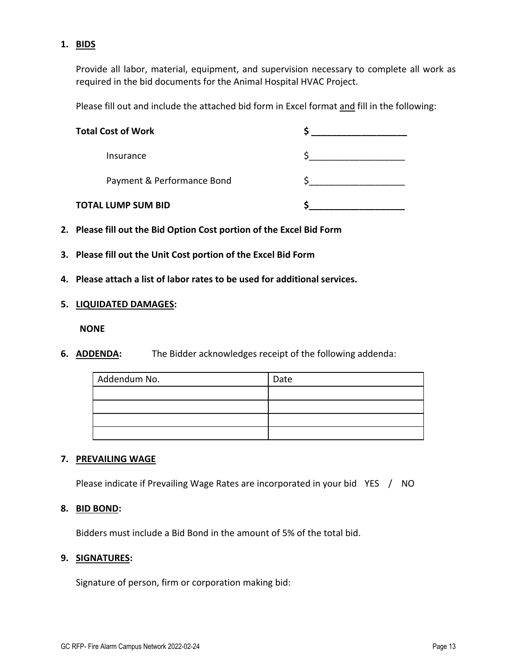# **1. BIDS**

Provide all labor, material, equipment, and supervision necessary to complete all work as required in the bid documents for the Animal Hospital HVAC Project.

Please fill out and include the attached bid form in Excel format and fill in the following:

| <b>Total Cost of Work</b>  |  |
|----------------------------|--|
| Insurance                  |  |
| Payment & Performance Bond |  |
| <b>TOTAL LUMP SUM BID</b>  |  |

- **2. Please fill out the Bid Option Cost portion of the Excel Bid Form**
- **3. Please fill out the Unit Cost portion of the Excel Bid Form**
- **4. Please attach a list of labor rates to be used for additional services.**

### **5. LIQUIDATED DAMAGES:**

**NONE**

**6. ADDENDA:** The Bidder acknowledges receipt of the following addenda:

| Addendum No. | Date |
|--------------|------|
|              |      |
|              |      |
|              |      |
|              |      |

### **7. PREVAILING WAGE**

Please indicate if Prevailing Wage Rates are incorporated in your bid YES / NO

### **8. BID BOND:**

Bidders must include a Bid Bond in the amount of 5% of the total bid.

### **9. SIGNATURES:**

Signature of person, firm or corporation making bid: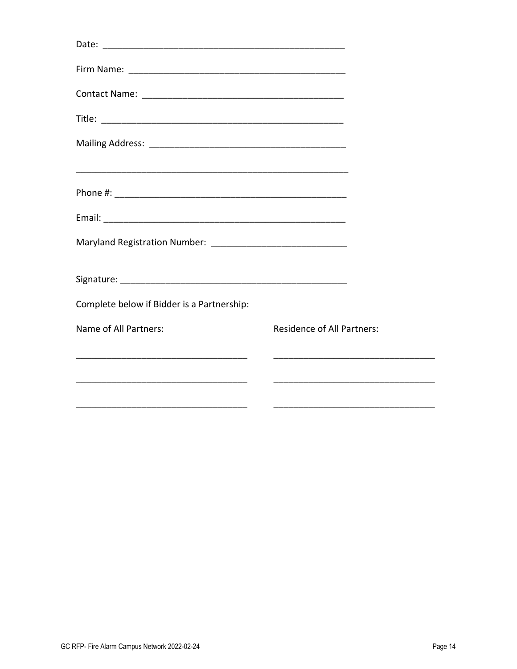| Complete below if Bidder is a Partnership: |                                   |  |
|--------------------------------------------|-----------------------------------|--|
| Name of All Partners:                      | <b>Residence of All Partners:</b> |  |
|                                            |                                   |  |
|                                            |                                   |  |
|                                            |                                   |  |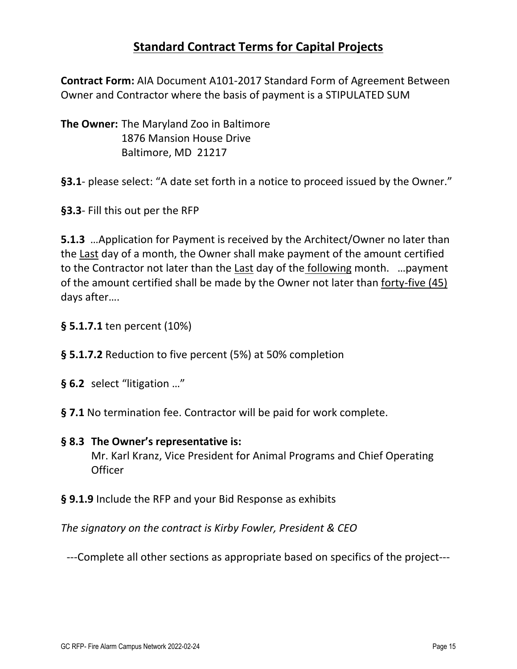# **Standard Contract Terms for Capital Projects**

**Contract Form:** AIA Document A101‐2017 Standard Form of Agreement Between Owner and Contractor where the basis of payment is a STIPULATED SUM

**The Owner:** The Maryland Zoo in Baltimore 1876 Mansion House Drive Baltimore, MD 21217

**§3.1**‐ please select: "A date set forth in a notice to proceed issued by the Owner."

**§3.3**‐ Fill this out per the RFP

**5.1.3** …Application for Payment is received by the Architect/Owner no later than the Last day of a month, the Owner shall make payment of the amount certified to the Contractor not later than the Last day of the following month. …payment of the amount certified shall be made by the Owner not later than forty‐five (45) days after….

- **§ 5.1.7.1** ten percent (10%)
- **§ 5.1.7.2** Reduction to five percent (5%) at 50% completion
- **§ 6.2** select "litigation …"
- **§ 7.1** No termination fee. Contractor will be paid for work complete.

# **§ 8.3 The Owner's representative is:**

Mr. Karl Kranz, Vice President for Animal Programs and Chief Operating **Officer** 

**§ 9.1.9** Include the RFP and your Bid Response as exhibits

*The signatory on the contract is Kirby Fowler, President & CEO*

‐‐‐Complete all other sections as appropriate based on specifics of the project‐‐‐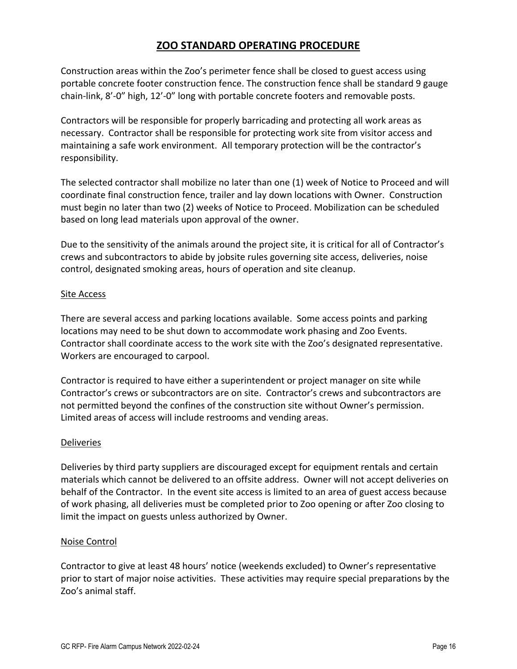# **ZOO STANDARD OPERATING PROCEDURE**

Construction areas within the Zoo's perimeter fence shall be closed to guest access using portable concrete footer construction fence. The construction fence shall be standard 9 gauge chain‐link, 8'‐0" high, 12'‐0" long with portable concrete footers and removable posts.

Contractors will be responsible for properly barricading and protecting all work areas as necessary. Contractor shall be responsible for protecting work site from visitor access and maintaining a safe work environment. All temporary protection will be the contractor's responsibility.

The selected contractor shall mobilize no later than one (1) week of Notice to Proceed and will coordinate final construction fence, trailer and lay down locations with Owner. Construction must begin no later than two (2) weeks of Notice to Proceed. Mobilization can be scheduled based on long lead materials upon approval of the owner.

Due to the sensitivity of the animals around the project site, it is critical for all of Contractor's crews and subcontractors to abide by jobsite rules governing site access, deliveries, noise control, designated smoking areas, hours of operation and site cleanup.

### Site Access

There are several access and parking locations available. Some access points and parking locations may need to be shut down to accommodate work phasing and Zoo Events. Contractor shall coordinate access to the work site with the Zoo's designated representative. Workers are encouraged to carpool.

Contractor is required to have either a superintendent or project manager on site while Contractor's crews or subcontractors are on site. Contractor's crews and subcontractors are not permitted beyond the confines of the construction site without Owner's permission. Limited areas of access will include restrooms and vending areas.

### Deliveries

Deliveries by third party suppliers are discouraged except for equipment rentals and certain materials which cannot be delivered to an offsite address. Owner will not accept deliveries on behalf of the Contractor. In the event site access is limited to an area of guest access because of work phasing, all deliveries must be completed prior to Zoo opening or after Zoo closing to limit the impact on guests unless authorized by Owner.

### Noise Control

Contractor to give at least 48 hours' notice (weekends excluded) to Owner's representative prior to start of major noise activities. These activities may require special preparations by the Zoo's animal staff.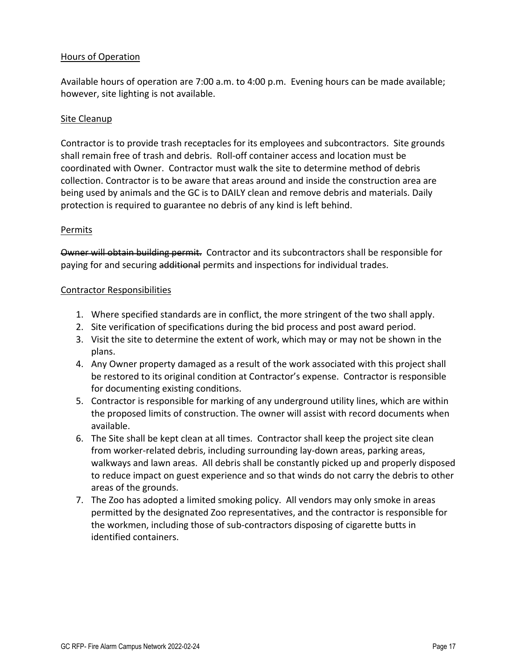### Hours of Operation

Available hours of operation are 7:00 a.m. to 4:00 p.m. Evening hours can be made available; however, site lighting is not available.

# Site Cleanup

Contractor is to provide trash receptacles for its employees and subcontractors. Site grounds shall remain free of trash and debris. Roll‐off container access and location must be coordinated with Owner. Contractor must walk the site to determine method of debris collection. Contractor is to be aware that areas around and inside the construction area are being used by animals and the GC is to DAILY clean and remove debris and materials. Daily protection is required to guarantee no debris of any kind is left behind.

### Permits

Owner will obtain building permit. Contractor and its subcontractors shall be responsible for paying for and securing additional permits and inspections for individual trades.

### Contractor Responsibilities

- 1. Where specified standards are in conflict, the more stringent of the two shall apply.
- 2. Site verification of specifications during the bid process and post award period.
- 3. Visit the site to determine the extent of work, which may or may not be shown in the plans.
- 4. Any Owner property damaged as a result of the work associated with this project shall be restored to its original condition at Contractor's expense. Contractor is responsible for documenting existing conditions.
- 5. Contractor is responsible for marking of any underground utility lines, which are within the proposed limits of construction. The owner will assist with record documents when available.
- 6. The Site shall be kept clean at all times. Contractor shall keep the project site clean from worker-related debris, including surrounding lay-down areas, parking areas, walkways and lawn areas. All debris shall be constantly picked up and properly disposed to reduce impact on guest experience and so that winds do not carry the debris to other areas of the grounds.
- 7. The Zoo has adopted a limited smoking policy. All vendors may only smoke in areas permitted by the designated Zoo representatives, and the contractor is responsible for the workmen, including those of sub‐contractors disposing of cigarette butts in identified containers.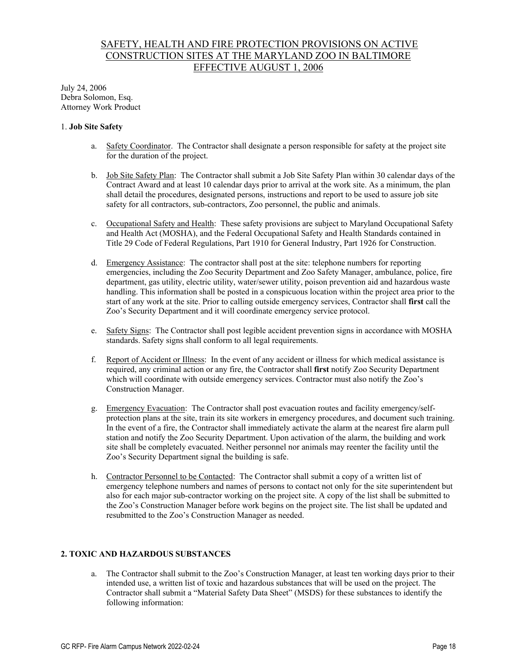# SAFETY, HEALTH AND FIRE PROTECTION PROVISIONS ON ACTIVE CONSTRUCTION SITES AT THE MARYLAND ZOO IN BALTIMORE EFFECTIVE AUGUST 1, 2006

July 24, 2006 Debra Solomon, Esq. Attorney Work Product

#### 1. **Job Site Safety**

- a. Safety Coordinator. The Contractor shall designate a person responsible for safety at the project site for the duration of the project.
- b. Job Site Safety Plan: The Contractor shall submit a Job Site Safety Plan within 30 calendar days of the Contract Award and at least 10 calendar days prior to arrival at the work site. As a minimum, the plan shall detail the procedures, designated persons, instructions and report to be used to assure job site safety for all contractors, sub-contractors, Zoo personnel, the public and animals.
- c. Occupational Safety and Health: These safety provisions are subject to Maryland Occupational Safety and Health Act (MOSHA), and the Federal Occupational Safety and Health Standards contained in Title 29 Code of Federal Regulations, Part 1910 for General Industry, Part 1926 for Construction.
- d. Emergency Assistance: The contractor shall post at the site: telephone numbers for reporting emergencies, including the Zoo Security Department and Zoo Safety Manager, ambulance, police, fire department, gas utility, electric utility, water/sewer utility, poison prevention aid and hazardous waste handling. This information shall be posted in a conspicuous location within the project area prior to the start of any work at the site. Prior to calling outside emergency services, Contractor shall **first** call the Zoo's Security Department and it will coordinate emergency service protocol.
- e. Safety Signs: The Contractor shall post legible accident prevention signs in accordance with MOSHA standards. Safety signs shall conform to all legal requirements.
- f. Report of Accident or Illness: In the event of any accident or illness for which medical assistance is required, any criminal action or any fire, the Contractor shall **first** notify Zoo Security Department which will coordinate with outside emergency services. Contractor must also notify the Zoo's Construction Manager.
- g. Emergency Evacuation: The Contractor shall post evacuation routes and facility emergency/selfprotection plans at the site, train its site workers in emergency procedures, and document such training. In the event of a fire, the Contractor shall immediately activate the alarm at the nearest fire alarm pull station and notify the Zoo Security Department. Upon activation of the alarm, the building and work site shall be completely evacuated. Neither personnel nor animals may reenter the facility until the Zoo's Security Department signal the building is safe.
- h. Contractor Personnel to be Contacted: The Contractor shall submit a copy of a written list of emergency telephone numbers and names of persons to contact not only for the site superintendent but also for each major sub-contractor working on the project site. A copy of the list shall be submitted to the Zoo's Construction Manager before work begins on the project site. The list shall be updated and resubmitted to the Zoo's Construction Manager as needed.

#### **2. TOXIC AND HAZARDOUS SUBSTANCES**

a. The Contractor shall submit to the Zoo's Construction Manager, at least ten working days prior to their intended use, a written list of toxic and hazardous substances that will be used on the project. The Contractor shall submit a "Material Safety Data Sheet" (MSDS) for these substances to identify the following information: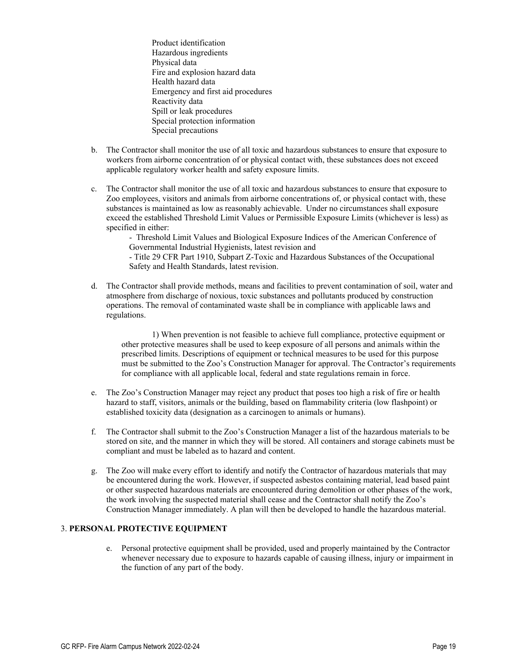Product identification Hazardous ingredients Physical data Fire and explosion hazard data Health hazard data Emergency and first aid procedures Reactivity data Spill or leak procedures Special protection information Special precautions

- b. The Contractor shall monitor the use of all toxic and hazardous substances to ensure that exposure to workers from airborne concentration of or physical contact with, these substances does not exceed applicable regulatory worker health and safety exposure limits.
- c. The Contractor shall monitor the use of all toxic and hazardous substances to ensure that exposure to Zoo employees, visitors and animals from airborne concentrations of, or physical contact with, these substances is maintained as low as reasonably achievable. Under no circumstances shall exposure exceed the established Threshold Limit Values or Permissible Exposure Limits (whichever is less) as specified in either:

 - Threshold Limit Values and Biological Exposure Indices of the American Conference of Governmental Industrial Hygienists, latest revision and

 - Title 29 CFR Part 1910, Subpart Z-Toxic and Hazardous Substances of the Occupational Safety and Health Standards, latest revision.

d. The Contractor shall provide methods, means and facilities to prevent contamination of soil, water and atmosphere from discharge of noxious, toxic substances and pollutants produced by construction operations. The removal of contaminated waste shall be in compliance with applicable laws and regulations.

1) When prevention is not feasible to achieve full compliance, protective equipment or other protective measures shall be used to keep exposure of all persons and animals within the prescribed limits. Descriptions of equipment or technical measures to be used for this purpose must be submitted to the Zoo's Construction Manager for approval. The Contractor's requirements for compliance with all applicable local, federal and state regulations remain in force.

- e. The Zoo's Construction Manager may reject any product that poses too high a risk of fire or health hazard to staff, visitors, animals or the building, based on flammability criteria (low flashpoint) or established toxicity data (designation as a carcinogen to animals or humans).
- f. The Contractor shall submit to the Zoo's Construction Manager a list of the hazardous materials to be stored on site, and the manner in which they will be stored. All containers and storage cabinets must be compliant and must be labeled as to hazard and content.
- g. The Zoo will make every effort to identify and notify the Contractor of hazardous materials that may be encountered during the work. However, if suspected asbestos containing material, lead based paint or other suspected hazardous materials are encountered during demolition or other phases of the work, the work involving the suspected material shall cease and the Contractor shall notify the Zoo's Construction Manager immediately. A plan will then be developed to handle the hazardous material.

#### 3. **PERSONAL PROTECTIVE EQUIPMENT**

e. Personal protective equipment shall be provided, used and properly maintained by the Contractor whenever necessary due to exposure to hazards capable of causing illness, injury or impairment in the function of any part of the body.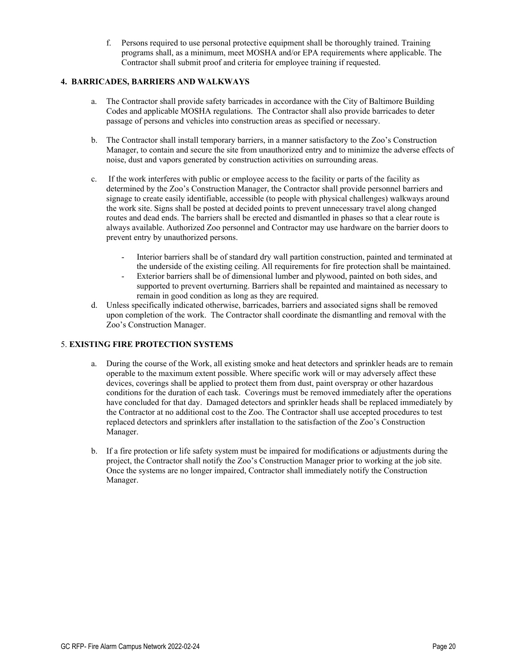f. Persons required to use personal protective equipment shall be thoroughly trained. Training programs shall, as a minimum, meet MOSHA and/or EPA requirements where applicable. The Contractor shall submit proof and criteria for employee training if requested.

#### **4. BARRICADES, BARRIERS AND WALKWAYS**

- a. The Contractor shall provide safety barricades in accordance with the City of Baltimore Building Codes and applicable MOSHA regulations. The Contractor shall also provide barricades to deter passage of persons and vehicles into construction areas as specified or necessary.
- b. The Contractor shall install temporary barriers, in a manner satisfactory to the Zoo's Construction Manager, to contain and secure the site from unauthorized entry and to minimize the adverse effects of noise, dust and vapors generated by construction activities on surrounding areas.
- c. If the work interferes with public or employee access to the facility or parts of the facility as determined by the Zoo's Construction Manager, the Contractor shall provide personnel barriers and signage to create easily identifiable, accessible (to people with physical challenges) walkways around the work site. Signs shall be posted at decided points to prevent unnecessary travel along changed routes and dead ends. The barriers shall be erected and dismantled in phases so that a clear route is always available. Authorized Zoo personnel and Contractor may use hardware on the barrier doors to prevent entry by unauthorized persons.
	- Interior barriers shall be of standard dry wall partition construction, painted and terminated at the underside of the existing ceiling. All requirements for fire protection shall be maintained.
	- Exterior barriers shall be of dimensional lumber and plywood, painted on both sides, and supported to prevent overturning. Barriers shall be repainted and maintained as necessary to remain in good condition as long as they are required.
- d. Unless specifically indicated otherwise, barricades, barriers and associated signs shall be removed upon completion of the work. The Contractor shall coordinate the dismantling and removal with the Zoo's Construction Manager.

#### 5. **EXISTING FIRE PROTECTION SYSTEMS**

- a. During the course of the Work, all existing smoke and heat detectors and sprinkler heads are to remain operable to the maximum extent possible. Where specific work will or may adversely affect these devices, coverings shall be applied to protect them from dust, paint overspray or other hazardous conditions for the duration of each task. Coverings must be removed immediately after the operations have concluded for that day. Damaged detectors and sprinkler heads shall be replaced immediately by the Contractor at no additional cost to the Zoo. The Contractor shall use accepted procedures to test replaced detectors and sprinklers after installation to the satisfaction of the Zoo's Construction Manager.
- b. If a fire protection or life safety system must be impaired for modifications or adjustments during the project, the Contractor shall notify the Zoo's Construction Manager prior to working at the job site. Once the systems are no longer impaired, Contractor shall immediately notify the Construction Manager.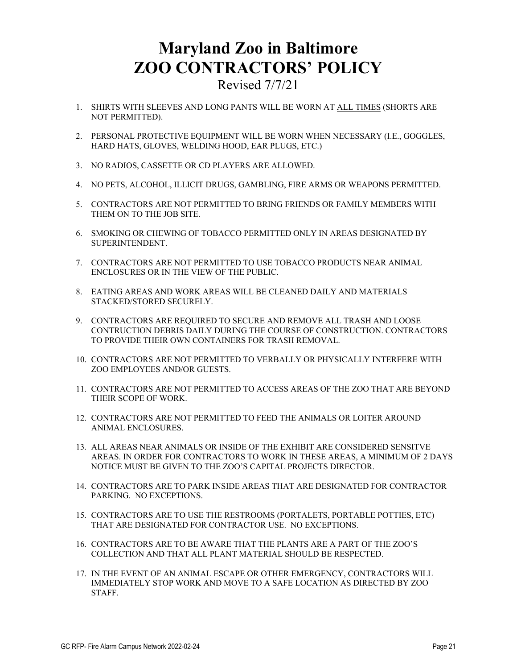# **Maryland Zoo in Baltimore ZOO CONTRACTORS' POLICY**

Revised 7/7/21

- 1. SHIRTS WITH SLEEVES AND LONG PANTS WILL BE WORN AT ALL TIMES (SHORTS ARE NOT PERMITTED).
- 2. PERSONAL PROTECTIVE EQUIPMENT WILL BE WORN WHEN NECESSARY (I.E., GOGGLES, HARD HATS, GLOVES, WELDING HOOD, EAR PLUGS, ETC.)
- 3. NO RADIOS, CASSETTE OR CD PLAYERS ARE ALLOWED.
- 4. NO PETS, ALCOHOL, ILLICIT DRUGS, GAMBLING, FIRE ARMS OR WEAPONS PERMITTED.
- 5. CONTRACTORS ARE NOT PERMITTED TO BRING FRIENDS OR FAMILY MEMBERS WITH THEM ON TO THE JOB SITE.
- 6. SMOKING OR CHEWING OF TOBACCO PERMITTED ONLY IN AREAS DESIGNATED BY SUPERINTENDENT.
- 7. CONTRACTORS ARE NOT PERMITTED TO USE TOBACCO PRODUCTS NEAR ANIMAL ENCLOSURES OR IN THE VIEW OF THE PUBLIC.
- 8. EATING AREAS AND WORK AREAS WILL BE CLEANED DAILY AND MATERIALS STACKED/STORED SECURELY.
- 9. CONTRACTORS ARE REQUIRED TO SECURE AND REMOVE ALL TRASH AND LOOSE CONTRUCTION DEBRIS DAILY DURING THE COURSE OF CONSTRUCTION. CONTRACTORS TO PROVIDE THEIR OWN CONTAINERS FOR TRASH REMOVAL.
- 10. CONTRACTORS ARE NOT PERMITTED TO VERBALLY OR PHYSICALLY INTERFERE WITH ZOO EMPLOYEES AND/OR GUESTS.
- 11. CONTRACTORS ARE NOT PERMITTED TO ACCESS AREAS OF THE ZOO THAT ARE BEYOND THEIR SCOPE OF WORK.
- 12. CONTRACTORS ARE NOT PERMITTED TO FEED THE ANIMALS OR LOITER AROUND ANIMAL ENCLOSURES.
- 13. ALL AREAS NEAR ANIMALS OR INSIDE OF THE EXHIBIT ARE CONSIDERED SENSITVE AREAS. IN ORDER FOR CONTRACTORS TO WORK IN THESE AREAS, A MINIMUM OF 2 DAYS NOTICE MUST BE GIVEN TO THE ZOO'S CAPITAL PROJECTS DIRECTOR.
- 14. CONTRACTORS ARE TO PARK INSIDE AREAS THAT ARE DESIGNATED FOR CONTRACTOR PARKING. NO EXCEPTIONS.
- 15. CONTRACTORS ARE TO USE THE RESTROOMS (PORTALETS, PORTABLE POTTIES, ETC) THAT ARE DESIGNATED FOR CONTRACTOR USE. NO EXCEPTIONS.
- 16. CONTRACTORS ARE TO BE AWARE THAT THE PLANTS ARE A PART OF THE ZOO'S COLLECTION AND THAT ALL PLANT MATERIAL SHOULD BE RESPECTED.
- 17. IN THE EVENT OF AN ANIMAL ESCAPE OR OTHER EMERGENCY, CONTRACTORS WILL IMMEDIATELY STOP WORK AND MOVE TO A SAFE LOCATION AS DIRECTED BY ZOO STAFF.